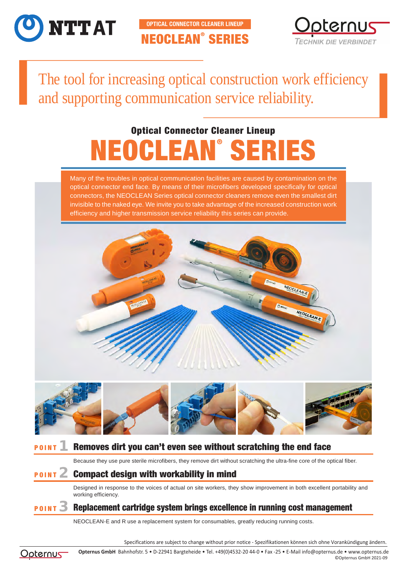

NEOCLEAN® SERIES **OPTICAL CONNECTOR CLEANER LINEUP**



The tool for increasing optical construction work efficiency and supporting communication service reliability.

# NEOCLEAN® SERIES Optical Connector Cleaner Lineup

Many of the troubles in optical communication facilities are caused by contamination on the optical connector end face. By means of their microfibers developed specifically for optical connectors, the NEOCLEAN Series optical connector cleaners remove even the smallest dirt invisible to the naked eye. We invite you to take advantage of the increased construction work efficiency and higher transmission service reliability this series can provide.





## **POINT Removes dirt you can't even see without scratching the end face**

Because they use pure sterile microfibers, they remove dirt without scratching the ultra-fine core of the optical fiber.

# **POINT 2** Compact design with workability in mind

Designed in response to the voices of actual on site workers, they show improvement in both excellent portability and working efficiency.

### **POINT 3** Replacement cartridge system brings excellence in running cost management

NEOCLEAN-E and R use a replacement system for consumables, greatly reducing running costs.

Specifications are subject to change without prior notice - Spezifikationen können sich ohne Vorankündigung ändern.



**Opternus GmbH** [Bahnhofstr. 5 • D-22941 Bargteheide • Tel. +49\(0\)4532-20 44-0 • Fax -25 • E-Mail info@opternus.de • www.opternus.de](https://www.opternus.de/lwl-produkte/reinigungsmaterial/) ©Opternus GmbH 2021-09